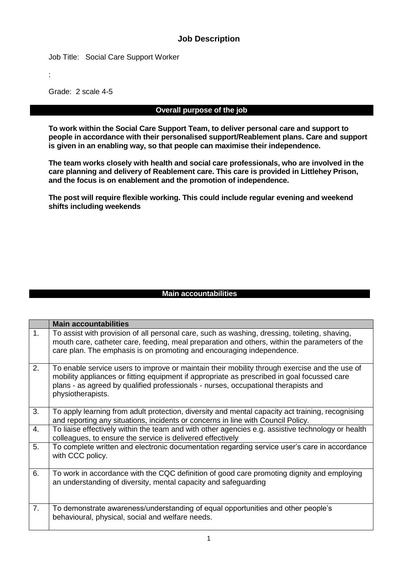## **Job Description**

Job Title: Social Care Support Worker

:

Grade: 2 scale 4-5

#### **Overall purpose of the job**

**To work within the Social Care Support Team, to deliver personal care and support to people in accordance with their personalised support/Reablement plans. Care and support is given in an enabling way, so that people can maximise their independence.**

**The team works closely with health and social care professionals, who are involved in the care planning and delivery of Reablement care. This care is provided in Littlehey Prison, and the focus is on enablement and the promotion of independence.**

**The post will require flexible working. This could include regular evening and weekend shifts including weekends** 

#### **Main accountabilities**

|    | <b>Main accountabilities</b>                                                                                                                                                                                                                                                                            |
|----|---------------------------------------------------------------------------------------------------------------------------------------------------------------------------------------------------------------------------------------------------------------------------------------------------------|
| 1. | To assist with provision of all personal care, such as washing, dressing, toileting, shaving,<br>mouth care, catheter care, feeding, meal preparation and others, within the parameters of the<br>care plan. The emphasis is on promoting and encouraging independence.                                 |
| 2. | To enable service users to improve or maintain their mobility through exercise and the use of<br>mobility appliances or fitting equipment if appropriate as prescribed in goal focussed care<br>plans - as agreed by qualified professionals - nurses, occupational therapists and<br>physiotherapists. |
| 3. | To apply learning from adult protection, diversity and mental capacity act training, recognising<br>and reporting any situations, incidents or concerns in line with Council Policy.                                                                                                                    |
| 4. | To liaise effectively within the team and with other agencies e.g. assistive technology or health<br>colleagues, to ensure the service is delivered effectively                                                                                                                                         |
| 5. | To complete written and electronic documentation regarding service user's care in accordance<br>with CCC policy.                                                                                                                                                                                        |
| 6. | To work in accordance with the CQC definition of good care promoting dignity and employing<br>an understanding of diversity, mental capacity and safeguarding                                                                                                                                           |
| 7. | To demonstrate awareness/understanding of equal opportunities and other people's<br>behavioural, physical, social and welfare needs.                                                                                                                                                                    |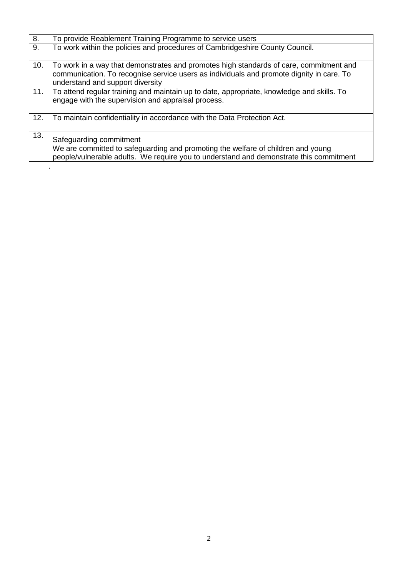| 8.  | To provide Reablement Training Programme to service users                                                                                                                                                              |
|-----|------------------------------------------------------------------------------------------------------------------------------------------------------------------------------------------------------------------------|
| 9.  | To work within the policies and procedures of Cambridgeshire County Council.                                                                                                                                           |
| 10. | To work in a way that demonstrates and promotes high standards of care, commitment and<br>communication. To recognise service users as individuals and promote dignity in care. To<br>understand and support diversity |
| 11. | To attend regular training and maintain up to date, appropriate, knowledge and skills. To<br>engage with the supervision and appraisal process.                                                                        |
| 12. | To maintain confidentiality in accordance with the Data Protection Act.                                                                                                                                                |
| 13. | Safeguarding commitment<br>We are committed to safeguarding and promoting the welfare of children and young<br>people/vulnerable adults. We require you to understand and demonstrate this commitment                  |
|     |                                                                                                                                                                                                                        |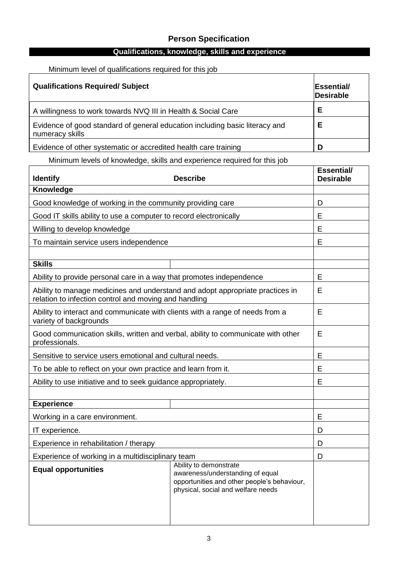# **Person Specification**

# **Qualifications, knowledge, skills and experience**

## Minimum level of qualifications required for this job

| <b>Qualifications Required/ Subject</b>                                                        | <b>Essential/</b><br>Desirable |
|------------------------------------------------------------------------------------------------|--------------------------------|
| A willingness to work towards NVQ III in Health & Social Care                                  | Е                              |
| Evidence of good standard of general education including basic literacy and<br>numeracy skills | Е                              |
| Evidence of other systematic or accredited health care training                                |                                |

Minimum levels of knowledge, skills and experience required for this job

| <b>Identify</b>                                                                                                                        | <b>Essential/</b><br><b>Desirable</b>                                                                                                           |   |  |  |
|----------------------------------------------------------------------------------------------------------------------------------------|-------------------------------------------------------------------------------------------------------------------------------------------------|---|--|--|
| Knowledge                                                                                                                              |                                                                                                                                                 |   |  |  |
| Good knowledge of working in the community providing care                                                                              |                                                                                                                                                 | D |  |  |
| Good IT skills ability to use a computer to record electronically                                                                      |                                                                                                                                                 | E |  |  |
| Willing to develop knowledge                                                                                                           |                                                                                                                                                 | E |  |  |
| To maintain service users independence                                                                                                 |                                                                                                                                                 | E |  |  |
|                                                                                                                                        |                                                                                                                                                 |   |  |  |
| <b>Skills</b>                                                                                                                          |                                                                                                                                                 |   |  |  |
| Ability to provide personal care in a way that promotes independence                                                                   |                                                                                                                                                 | E |  |  |
| Ability to manage medicines and understand and adopt appropriate practices in<br>relation to infection control and moving and handling |                                                                                                                                                 | E |  |  |
| Ability to interact and communicate with clients with a range of needs from a<br>variety of backgrounds                                |                                                                                                                                                 | E |  |  |
| Good communication skills, written and verbal, ability to communicate with other<br>professionals.                                     | E                                                                                                                                               |   |  |  |
| Sensitive to service users emotional and cultural needs.                                                                               |                                                                                                                                                 | E |  |  |
| To be able to reflect on your own practice and learn from it.                                                                          |                                                                                                                                                 | E |  |  |
| Ability to use initiative and to seek guidance appropriately.                                                                          |                                                                                                                                                 | E |  |  |
|                                                                                                                                        |                                                                                                                                                 |   |  |  |
| <b>Experience</b>                                                                                                                      |                                                                                                                                                 |   |  |  |
| Working in a care environment.                                                                                                         |                                                                                                                                                 | E |  |  |
| IT experience.                                                                                                                         |                                                                                                                                                 | D |  |  |
| Experience in rehabilitation / therapy                                                                                                 | D                                                                                                                                               |   |  |  |
| Experience of working in a multidisciplinary team                                                                                      | D                                                                                                                                               |   |  |  |
| <b>Equal opportunities</b>                                                                                                             | Ability to demonstrate<br>awareness/understanding of equal<br>opportunities and other people's behaviour,<br>physical, social and welfare needs |   |  |  |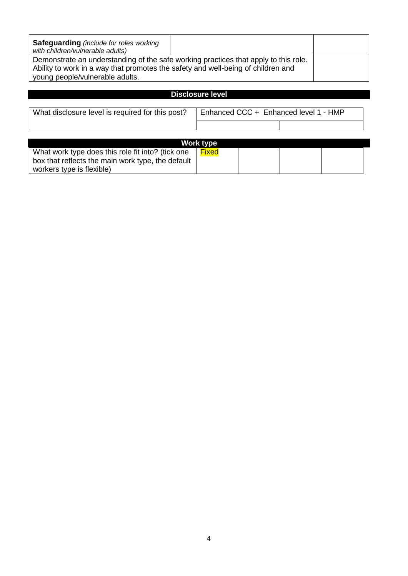| <b>Safeguarding</b> (include for roles working<br>with children/vulnerable adults)  |  |  |
|-------------------------------------------------------------------------------------|--|--|
| Demonstrate an understanding of the safe working practices that apply to this role. |  |  |
| Ability to work in a way that promotes the safety and well-being of children and    |  |  |
| young people/vulnerable adults.                                                     |  |  |

## **Disclosure level**

| What disclosure level is required for this post? | Enhanced CCC + Enhanced level 1 - HMP |  |
|--------------------------------------------------|---------------------------------------|--|
|                                                  |                                       |  |

|                                                                                                                                     | Work type |  |  |
|-------------------------------------------------------------------------------------------------------------------------------------|-----------|--|--|
| What work type does this role fit into? (tick one<br>box that reflects the main work type, the default<br>workers type is flexible) | Fixed     |  |  |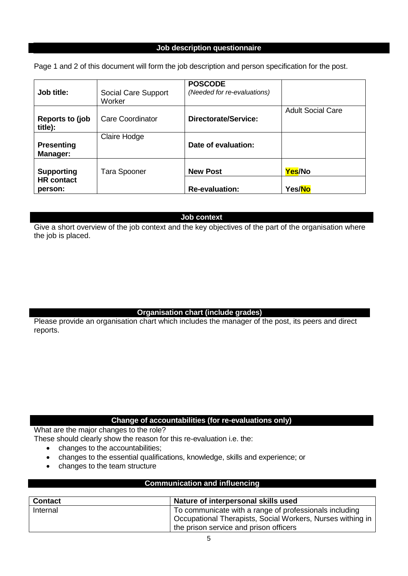#### **Job description questionnaire**

Page 1 and 2 of this document will form the job description and person specification for the post.

| Job title:                                        | Social Care Support<br>Worker | <b>POSCODE</b><br>(Needed for re-evaluations) |                          |
|---------------------------------------------------|-------------------------------|-----------------------------------------------|--------------------------|
| Reports to (job<br>title):                        | <b>Care Coordinator</b>       | Directorate/Service:                          | <b>Adult Social Care</b> |
| <b>Presenting</b><br>Manager:                     | Claire Hodge                  | Date of evaluation:                           |                          |
| <b>Supporting</b><br><b>HR</b> contact<br>person: | Tara Spooner                  | <b>New Post</b><br><b>Re-evaluation:</b>      | Yes/No<br>Yes/No         |

**Job context** 

Give a short overview of the job context and the key objectives of the part of the organisation where the job is placed.

#### **Organisation chart (include grades)**

Please provide an organisation chart which includes the manager of the post, its peers and direct reports.

### **Change of accountabilities (for re-evaluations only)**

What are the major changes to the role?

These should clearly show the reason for this re-evaluation i.e. the:

- changes to the accountabilities:
- changes to the essential qualifications, knowledge, skills and experience; or
- changes to the team structure

## **Communication and influencing**

| <b>Contact</b> | Nature of interpersonal skills used                        |
|----------------|------------------------------------------------------------|
| Internal       | To communicate with a range of professionals including     |
|                | Occupational Therapists, Social Workers, Nurses withing in |
|                | the prison service and prison officers                     |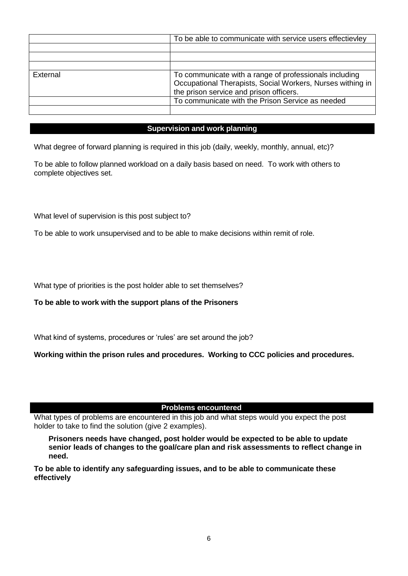|          | To be able to communicate with service users effectievley  |
|----------|------------------------------------------------------------|
|          |                                                            |
|          |                                                            |
|          |                                                            |
| External | To communicate with a range of professionals including     |
|          | Occupational Therapists, Social Workers, Nurses withing in |
|          | the prison service and prison officers.                    |
|          | To communicate with the Prison Service as needed           |
|          |                                                            |

#### **Supervision and work planning**

What degree of forward planning is required in this job (daily, weekly, monthly, annual, etc)?

To be able to follow planned workload on a daily basis based on need. To work with others to complete objectives set.

What level of supervision is this post subject to?

To be able to work unsupervised and to be able to make decisions within remit of role.

What type of priorities is the post holder able to set themselves?

**To be able to work with the support plans of the Prisoners**

What kind of systems, procedures or 'rules' are set around the job?

**Working within the prison rules and procedures. Working to CCC policies and procedures.**

**Problems encountered**

What types of problems are encountered in this job and what steps would you expect the post holder to take to find the solution (give 2 examples).

**Prisoners needs have changed, post holder would be expected to be able to update senior leads of changes to the goal/care plan and risk assessments to reflect change in need.**

**To be able to identify any safeguarding issues, and to be able to communicate these effectively**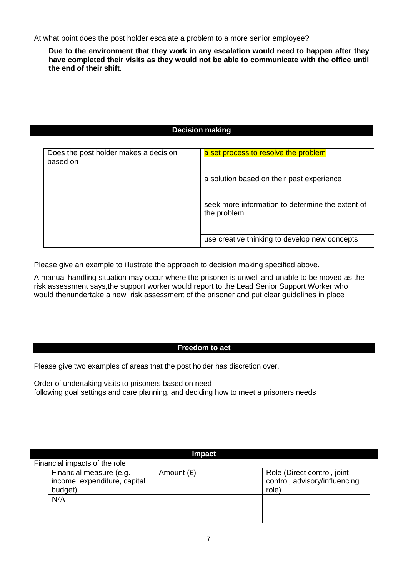At what point does the post holder escalate a problem to a more senior employee?

**Due to the environment that they work in any escalation would need to happen after they have completed their visits as they would not be able to communicate with the office until the end of their shift.**

#### **Decision making**

| Does the post holder makes a decision<br>based on | a set process to resolve the problem                            |
|---------------------------------------------------|-----------------------------------------------------------------|
|                                                   | a solution based on their past experience                       |
|                                                   | seek more information to determine the extent of<br>the problem |
|                                                   | use creative thinking to develop new concepts                   |

Please give an example to illustrate the approach to decision making specified above.

A manual handling situation may occur where the prisoner is unwell and unable to be moved as the risk assessment says,the support worker would report to the Lead Senior Support Worker who would thenundertake a new risk assessment of the prisoner and put clear guidelines in place

#### **Freedom to act**

Please give two examples of areas that the post holder has discretion over.

Order of undertaking visits to prisoners based on need following goal settings and care planning, and deciding how to meet a prisoners needs

| <b>Impact</b> |                                                                    |              |                                                                       |  |  |  |
|---------------|--------------------------------------------------------------------|--------------|-----------------------------------------------------------------------|--|--|--|
|               | Financial impacts of the role                                      |              |                                                                       |  |  |  |
|               | Financial measure (e.g.<br>income, expenditure, capital<br>budget) | Amount $(E)$ | Role (Direct control, joint<br>control, advisory/influencing<br>role) |  |  |  |
|               | N/A                                                                |              |                                                                       |  |  |  |
|               |                                                                    |              |                                                                       |  |  |  |
|               |                                                                    |              |                                                                       |  |  |  |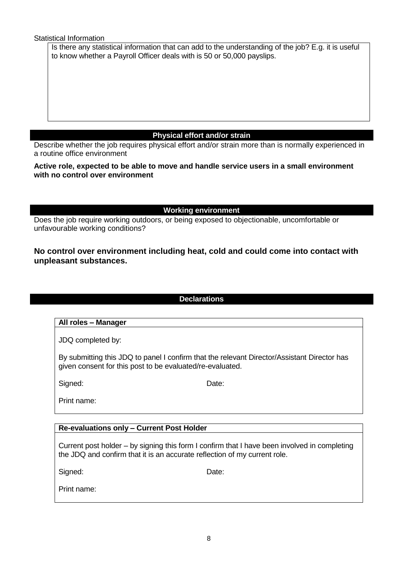Statistical Information

Is there any statistical information that can add to the understanding of the job? E.g. it is useful to know whether a Payroll Officer deals with is 50 or 50,000 payslips.

## **Physical effort and/or strain**

Describe whether the job requires physical effort and/or strain more than is normally experienced in a routine office environment

#### **Active role, expected to be able to move and handle service users in a small environment with no control over environment**

**Working environment**

Does the job require working outdoors, or being exposed to objectionable, uncomfortable or unfavourable working conditions?

## **No control over environment including heat, cold and could come into contact with unpleasant substances.**

**Declarations**

## **All roles – Manager**

JDQ completed by:

By submitting this JDQ to panel I confirm that the relevant Director/Assistant Director has given consent for this post to be evaluated/re-evaluated.

Signed: Date:

Print name:

### **Re-evaluations only – Current Post Holder**

Current post holder – by signing this form I confirm that I have been involved in completing the JDQ and confirm that it is an accurate reflection of my current role.

Signed: Date:

Print name: